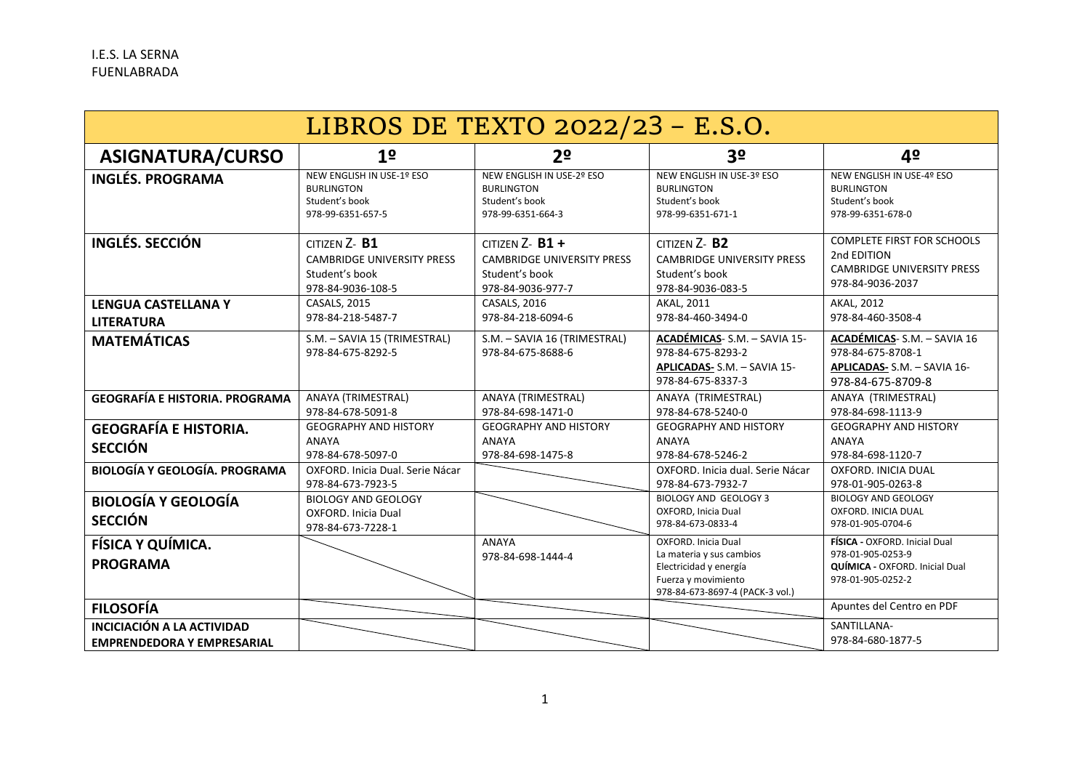| LIBROS DE TEXTO 2022/23 - E.S.O.                                |                                                                                              |                                                                                                |                                                                                                                                     |                                                                                                           |  |  |  |
|-----------------------------------------------------------------|----------------------------------------------------------------------------------------------|------------------------------------------------------------------------------------------------|-------------------------------------------------------------------------------------------------------------------------------------|-----------------------------------------------------------------------------------------------------------|--|--|--|
| ASIGNATURA/CURSO                                                | 1 <sup>o</sup>                                                                               | 2 <sup>o</sup>                                                                                 | 3 <sup>o</sup>                                                                                                                      | 4º                                                                                                        |  |  |  |
| <b>INGLÉS. PROGRAMA</b>                                         | <b>NEW ENGLISH IN USE-1º ESO</b><br><b>BURLINGTON</b><br>Student's book<br>978-99-6351-657-5 | NEW ENGLISH IN USE-2º ESO<br><b>BURLINGTON</b><br>Student's book<br>978-99-6351-664-3          | NEW ENGLISH IN USE-3º ESO<br><b>BURLINGTON</b><br>Student's book<br>978-99-6351-671-1                                               | <b>NEW ENGLISH IN USE-4º ESO</b><br><b>BURLINGTON</b><br>Student's book<br>978-99-6351-678-0              |  |  |  |
| INGLÉS, SECCIÓN                                                 | $CITIZEN Z - B1$<br><b>CAMBRIDGE UNIVERSITY PRESS</b><br>Student's book<br>978-84-9036-108-5 | CITIZEN $Z - B1 +$<br><b>CAMBRIDGE UNIVERSITY PRESS</b><br>Student's book<br>978-84-9036-977-7 | CITIZEN Z-B <sub>2</sub><br><b>CAMBRIDGE UNIVERSITY PRESS</b><br>Student's book<br>978-84-9036-083-5                                | <b>COMPLETE FIRST FOR SCHOOLS</b><br>2nd EDITION<br><b>CAMBRIDGE UNIVERSITY PRESS</b><br>978-84-9036-2037 |  |  |  |
| <b>LENGUA CASTELLANA Y</b><br><b>LITERATURA</b>                 | <b>CASALS, 2015</b><br>978-84-218-5487-7                                                     | <b>CASALS, 2016</b><br>978-84-218-6094-6                                                       | AKAL, 2011<br>978-84-460-3494-0                                                                                                     | AKAL, 2012<br>978-84-460-3508-4                                                                           |  |  |  |
| <b>MATEMÁTICAS</b>                                              | S.M. - SAVIA 15 (TRIMESTRAL)<br>978-84-675-8292-5                                            | S.M. - SAVIA 16 (TRIMESTRAL)<br>978-84-675-8688-6                                              | ACADÉMICAS-S.M. - SAVIA 15-<br>978-84-675-8293-2<br>APLICADAS- S.M. - SAVIA 15-<br>978-84-675-8337-3                                | ACADÉMICAS-S.M. - SAVIA 16<br>978-84-675-8708-1<br>APLICADAS- S.M. - SAVIA 16-<br>978-84-675-8709-8       |  |  |  |
| <b>GEOGRAFÍA E HISTORIA. PROGRAMA</b>                           | ANAYA (TRIMESTRAL)<br>978-84-678-5091-8                                                      | ANAYA (TRIMESTRAL)<br>978-84-698-1471-0                                                        | ANAYA (TRIMESTRAL)<br>978-84-678-5240-0                                                                                             | ANAYA (TRIMESTRAL)<br>978-84-698-1113-9                                                                   |  |  |  |
| <b>GEOGRAFÍA E HISTORIA.</b><br><b>SECCIÓN</b>                  | <b>GEOGRAPHY AND HISTORY</b><br><b>ANAYA</b><br>978-84-678-5097-0                            | <b>GEOGRAPHY AND HISTORY</b><br><b>ANAYA</b><br>978-84-698-1475-8                              | <b>GEOGRAPHY AND HISTORY</b><br>ANAYA<br>978-84-678-5246-2                                                                          | <b>GEOGRAPHY AND HISTORY</b><br><b>ANAYA</b><br>978-84-698-1120-7                                         |  |  |  |
| <b>BIOLOGÍA Y GEOLOGÍA. PROGRAMA</b>                            | OXFORD, Inicia Dual, Serie Nácar<br>978-84-673-7923-5                                        |                                                                                                | OXFORD. Inicia dual. Serie Nácar<br>978-84-673-7932-7                                                                               | OXFORD. INICIA DUAL<br>978-01-905-0263-8                                                                  |  |  |  |
| <b>BIOLOGÍA Y GEOLOGÍA</b><br><b>SECCIÓN</b>                    | <b>BIOLOGY AND GEOLOGY</b><br><b>OXFORD.</b> Inicia Dual<br>978-84-673-7228-1                |                                                                                                | <b>BIOLOGY AND GEOLOGY 3</b><br>OXFORD, Inicia Dual<br>978-84-673-0833-4                                                            | <b>BIOLOGY AND GEOLOGY</b><br>OXFORD. INICIA DUAL<br>978-01-905-0704-6                                    |  |  |  |
| FÍSICA Y QUÍMICA.<br><b>PROGRAMA</b>                            |                                                                                              | ANAYA<br>978-84-698-1444-4                                                                     | OXFORD, Inicia Dual<br>La materia y sus cambios<br>Electricidad y energía<br>Fuerza y movimiento<br>978-84-673-8697-4 (PACK-3 vol.) | FÍSICA - OXFORD, Inicial Dual<br>978-01-905-0253-9<br>QUÍMICA - OXFORD. Inicial Dual<br>978-01-905-0252-2 |  |  |  |
| <b>FILOSOFÍA</b>                                                |                                                                                              |                                                                                                |                                                                                                                                     | Apuntes del Centro en PDF                                                                                 |  |  |  |
| INCICIACIÓN A LA ACTIVIDAD<br><b>EMPRENDEDORA Y EMPRESARIAL</b> |                                                                                              |                                                                                                |                                                                                                                                     | SANTILLANA-<br>978-84-680-1877-5                                                                          |  |  |  |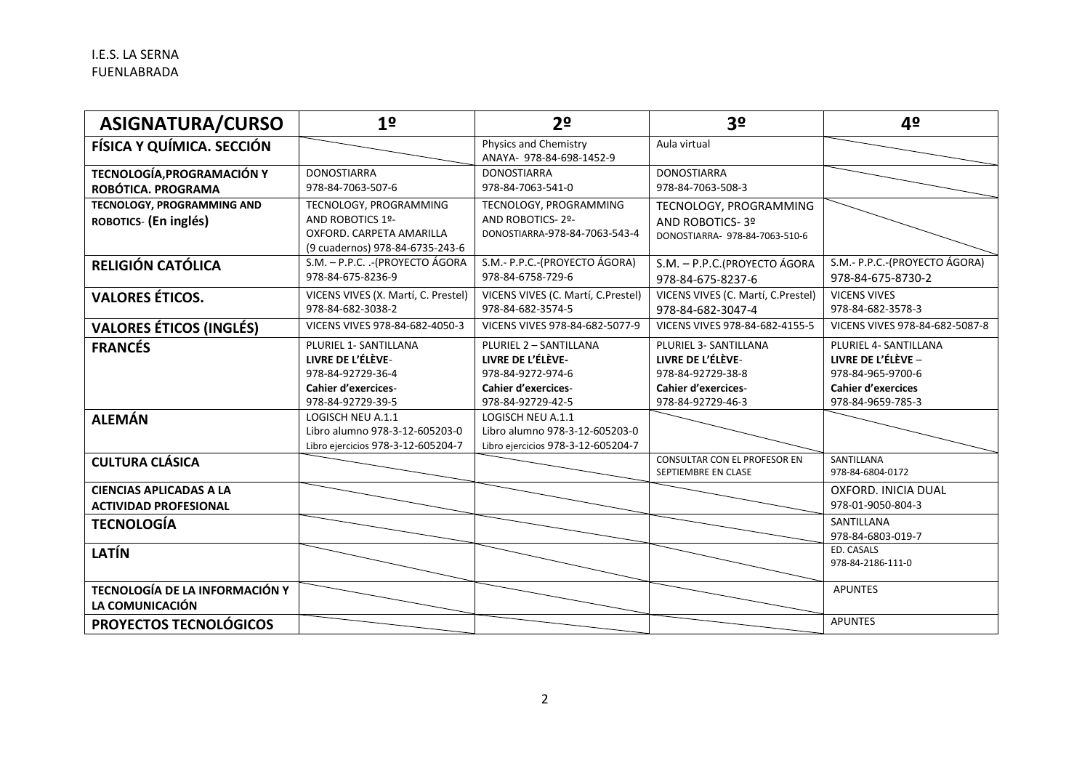| <b>ASIGNATURA/CURSO</b>               | 1 <sup>o</sup>                      | 2 <sup>o</sup>                                    | 3 <sup>o</sup>                                             | 4º                             |
|---------------------------------------|-------------------------------------|---------------------------------------------------|------------------------------------------------------------|--------------------------------|
| FÍSICA Y QUÍMICA. SECCIÓN             |                                     | Physics and Chemistry<br>ANAYA- 978-84-698-1452-9 | Aula virtual                                               |                                |
| TECNOLOGÍA, PROGRAMACIÓN Y            | <b>DONOSTIARRA</b>                  | <b>DONOSTIARRA</b>                                | <b>DONOSTIARRA</b>                                         |                                |
| ROBÓTICA. PROGRAMA                    | 978-84-7063-507-6                   | 978-84-7063-541-0                                 | 978-84-7063-508-3                                          |                                |
| <b>TECNOLOGY, PROGRAMMING AND</b>     | TECNOLOGY, PROGRAMMING              | TECNOLOGY, PROGRAMMING                            | TECNOLOGY, PROGRAMMING                                     |                                |
| ROBOTICS- (En inglés)                 | AND ROBOTICS 1º-                    | AND ROBOTICS-2º-                                  | AND ROBOTICS-3º                                            |                                |
|                                       | OXFORD, CARPETA AMARILLA            | DONOSTIARRA-978-84-7063-543-4                     | DONOSTIARRA- 978-84-7063-510-6                             |                                |
|                                       | (9 cuadernos) 978-84-6735-243-6     |                                                   |                                                            |                                |
| RELIGIÓN CATÓLICA                     | S.M. - P.P.C. .- (PROYECTO ÁGORA    | S.M.- P.P.C.-(PROYECTO ÁGORA)                     | S.M. - P.P.C. (PROYECTO ÁGORA                              | S.M.- P.P.C.-(PROYECTO ÁGORA)  |
|                                       | 978-84-675-8236-9                   | 978-84-6758-729-6                                 | 978-84-675-8237-6                                          | 978-84-675-8730-2              |
| <b>VALORES ÉTICOS.</b>                | VICENS VIVES (X. Martí, C. Prestel) | VICENS VIVES (C. Martí, C.Prestel)                | VICENS VIVES (C. Martí, C.Prestel)                         | <b>VICENS VIVES</b>            |
|                                       | 978-84-682-3038-2                   | 978-84-682-3574-5                                 | 978-84-682-3047-4                                          | 978-84-682-3578-3              |
| <b>VALORES ÉTICOS (INGLÉS)</b>        | VICENS VIVES 978-84-682-4050-3      | VICENS VIVES 978-84-682-5077-9                    | VICENS VIVES 978-84-682-4155-5                             | VICENS VIVES 978-84-682-5087-8 |
| <b>FRANCÉS</b>                        | PLURIEL 1- SANTILLANA               | PLURIEL 2 - SANTILLANA                            | PLURIEL 3- SANTILLANA                                      | PLURIEL 4- SANTILLANA          |
|                                       | LIVRE DE L'ÉLÈVE-                   | LIVRE DE L'ÉLÈVE-                                 | LIVRE DE L'ÉLÈVE-                                          | LIVRE DE L'ÉLÈVE -             |
|                                       | 978-84-92729-36-4                   | 978-84-9272-974-6                                 | 978-84-92729-38-8                                          | 978-84-965-9700-6              |
|                                       | <b>Cahier d'exercices-</b>          | <b>Cahier d'exercices-</b>                        | <b>Cahier d'exercices-</b>                                 | <b>Cahier d'exercices</b>      |
|                                       | 978-84-92729-39-5                   | 978-84-92729-42-5                                 | 978-84-92729-46-3                                          | 978-84-9659-785-3              |
| <b>ALEMÁN</b>                         | LOGISCH NEU A.1.1                   | LOGISCH NEU A.1.1                                 |                                                            |                                |
|                                       | Libro alumno 978-3-12-605203-0      | Libro alumno 978-3-12-605203-0                    |                                                            |                                |
|                                       | Libro ejercicios 978-3-12-605204-7  | Libro ejercicios 978-3-12-605204-7                |                                                            |                                |
| <b>CULTURA CLÁSICA</b>                |                                     |                                                   | <b>CONSULTAR CON EL PROFESOR EN</b><br>SEPTIEMBRE EN CLASE | SANTILLANA<br>978-84-6804-0172 |
|                                       |                                     |                                                   |                                                            |                                |
| <b>CIENCIAS APLICADAS A LA</b>        |                                     |                                                   |                                                            | OXFORD. INICIA DUAL            |
| <b>ACTIVIDAD PROFESIONAL</b>          |                                     |                                                   |                                                            | 978-01-9050-804-3              |
| <b>TECNOLOGÍA</b>                     |                                     |                                                   |                                                            | SANTILLANA                     |
|                                       |                                     |                                                   |                                                            | 978-84-6803-019-7              |
| <b>LATÍN</b>                          |                                     |                                                   |                                                            | ED. CASALS                     |
|                                       |                                     |                                                   |                                                            | 978-84-2186-111-0              |
| <b>TECNOLOGÍA DE LA INFORMACIÓN Y</b> |                                     |                                                   |                                                            | <b>APUNTES</b>                 |
| LA COMUNICACIÓN                       |                                     |                                                   |                                                            |                                |
| PROYECTOS TECNOLÓGICOS                |                                     |                                                   |                                                            | <b>APUNTES</b>                 |